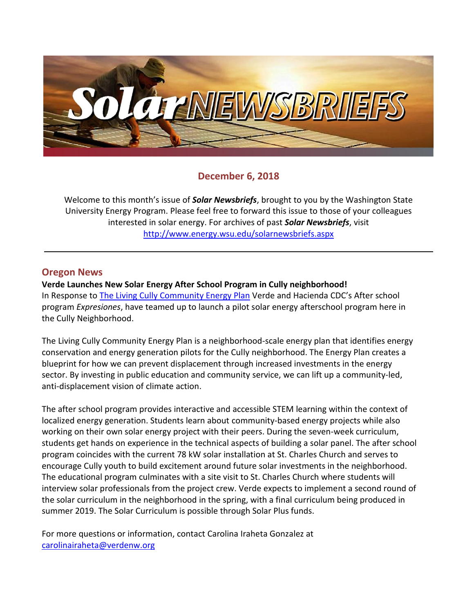

# **December 6, 2018**

Welcome to this month's issue of *Solar Newsbriefs*, brought to you by the Washington State University Energy Program. Please feel free to forward this issue to those of your colleagues interested in solar energy. For archives of past *Solar Newsbriefs*, visit <http://www.energy.wsu.edu/solarnewsbriefs.aspx>

## **Oregon News**

**Verde Launches New Solar Energy After School Program in Cully neighborhood!** In Response to [The Living Cully Community Energy Plan](http://www.livingcully.org/incoming/2018/05/LC-Community-Energy-Plan-FINAL-6.pdf) Verde and Hacienda CDC's After school program *Expresiones*, have teamed up to launch a pilot solar energy afterschool program here in the Cully Neighborhood.

The Living Cully Community Energy Plan is a neighborhood-scale energy plan that identifies energy conservation and energy generation pilots for the Cully neighborhood. The Energy Plan creates a blueprint for how we can prevent displacement through increased investments in the energy sector. By investing in public education and community service, we can lift up a community-led, anti-displacement vision of climate action.

The after school program provides interactive and accessible STEM learning within the context of localized energy generation. Students learn about community-based energy projects while also working on their own solar energy project with their peers. During the seven-week curriculum, students get hands on experience in the technical aspects of building a solar panel. The after school program coincides with the current 78 kW solar installation at St. Charles Church and serves to encourage Cully youth to build excitement around future solar investments in the neighborhood. The educational program culminates with a site visit to St. Charles Church where students will interview solar professionals from the project crew. Verde expects to implement a second round of the solar curriculum in the neighborhood in the spring, with a final curriculum being produced in summer 2019. The Solar Curriculum is possible through Solar Plus funds.

For more questions or information, contact Carolina Iraheta Gonzalez at [carolinairaheta@verdenw.org](mailto:carolinairaheta@verdenw.org)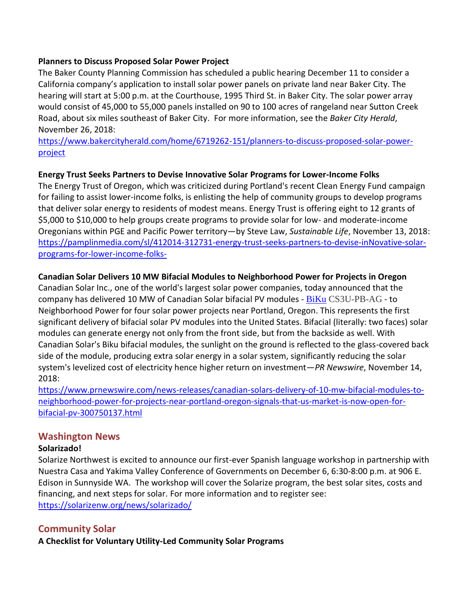#### **Planners to Discuss Proposed Solar Power Project**

The Baker County Planning Commission has scheduled a public hearing December 11 to consider a California company's application to install solar power panels on private land near Baker City. The hearing will start at 5:00 p.m. at the Courthouse, 1995 Third St. in Baker City. The solar power array would consist of 45,000 to 55,000 panels installed on 90 to 100 acres of rangeland near Sutton Creek Road, about six miles southeast of Baker City. For more information, see the *Baker City Herald*, November 26, 2018:

[https://www.bakercityherald.com/home/6719262-151/planners-to-discuss-proposed-solar-power](https://www.bakercityherald.com/home/6719262-151/planners-to-discuss-proposed-solar-power-project)[project](https://www.bakercityherald.com/home/6719262-151/planners-to-discuss-proposed-solar-power-project)

## **Energy Trust Seeks Partners to Devise Innovative Solar Programs for Lower-Income Folks**

The Energy Trust of Oregon, which was criticized during Portland's recent Clean Energy Fund campaign for failing to assist lower-income folks, is enlisting the help of community groups to develop programs that deliver solar energy to residents of modest means. Energy Trust is offering eight to 12 grants of \$5,000 to \$10,000 to help groups create programs to provide solar for low- and moderate-income Oregonians within PGE and Pacific Power territory—by Steve Law, *Sustainable Life*, November 13, 2018: [https://pamplinmedia.com/sl/412014-312731-energy-trust-seeks-partners-to-devise-inNovative-solar](https://pamplinmedia.com/sl/412014-312731-energy-trust-seeks-partners-to-devise-innovative-solar-programs-for-lower-income-folks-)[programs-for-lower-income-folks-](https://pamplinmedia.com/sl/412014-312731-energy-trust-seeks-partners-to-devise-innovative-solar-programs-for-lower-income-folks-)

## **Canadian Solar Delivers 10 MW Bifacial Modules to Neighborhood Power for Projects in Oregon**

[Canadian Solar Inc.,](http://www.canadiansolar.com/na/) one of the world's largest solar power companies, today announced that the company has delivered 10 MW of Canadian Solar bifacial PV modules - [BiKu](https://www.canadiansolar.com/solar-panels/biku.html) CS3U-PB-AG - to Neighborhood Power for four solar power projects near Portland, Oregon. This represents the first significant delivery of bifacial solar PV modules into the United States. Bifacial (literally: two faces) solar modules can generate energy not only from the front side, but from the backside as well. With Canadian Solar's Biku bifacial modules, the sunlight on the ground is reflected to the glass-covered back side of the module, producing extra solar energy in a solar system, significantly reducing the solar system's levelized cost of electricity hence higher return on investment—*PR Newswire*, November 14, 2018:

[https://www.prnewswire.com/news-releases/canadian-solars-delivery-of-10-mw-bifacial-modules-to](https://www.prnewswire.com/news-releases/canadian-solars-delivery-of-10-mw-bifacial-modules-to-neighborhood-power-for-projects-near-portland-oregon-signals-that-us-market-is-now-open-for-bifacial-pv-300750137.html)[neighborhood-power-for-projects-near-portland-oregon-signals-that-us-market-is-now-open-for](https://www.prnewswire.com/news-releases/canadian-solars-delivery-of-10-mw-bifacial-modules-to-neighborhood-power-for-projects-near-portland-oregon-signals-that-us-market-is-now-open-for-bifacial-pv-300750137.html)[bifacial-pv-300750137.html](https://www.prnewswire.com/news-releases/canadian-solars-delivery-of-10-mw-bifacial-modules-to-neighborhood-power-for-projects-near-portland-oregon-signals-that-us-market-is-now-open-for-bifacial-pv-300750137.html)

## **Washington News**

#### **Solarizado!**

Solarize Northwest is excited to announce our first-ever Spanish language workshop in partnership with Nuestra Casa and Yakima Valley Conference of Governments on December 6, 6:30-8:00 p.m. at 906 E. Edison in Sunnyside WA. The workshop will cover the Solarize program, the best solar sites, costs and financing, and next steps for solar. For more information and to register see: <https://solarizenw.org/news/solarizado/>

# **Community Solar**

**A Checklist for Voluntary Utility-Led Community Solar Programs**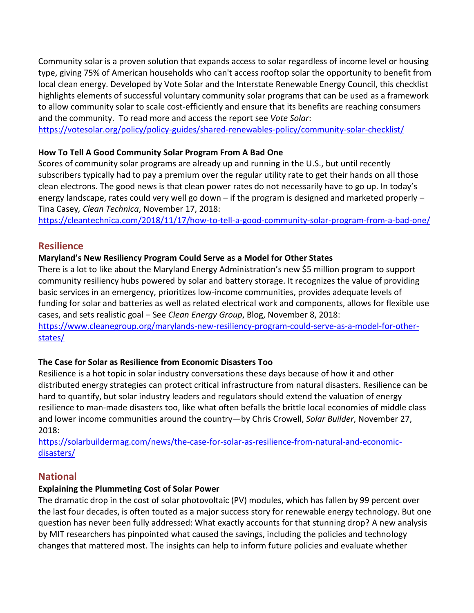Community solar is a proven solution that expands access to solar regardless of income level or housing type, giving 75% of American households who can't access rooftop solar the opportunity to benefit from local clean energy. Developed by Vote Solar and the Interstate Renewable Energy Council, this checklist highlights elements of successful voluntary community solar programs that can be used as a framework to allow community solar to scale cost-efficiently and ensure that its benefits are reaching consumers and the community. To read more and access the report see *Vote Solar*:

<https://votesolar.org/policy/policy-guides/shared-renewables-policy/community-solar-checklist/>

## **How To Tell A Good Community Solar Program From A Bad One**

Scores of community solar programs are already up and running in the U.S., but until recently subscribers typically had to pay a premium over the regular utility rate to get their hands on all those clean electrons. The good news is that clean power rates do not necessarily have to go up. In today's energy landscape, rates could very well go down – if the program is designed and marketed properly – Tina Casey*, Clean Technica*, November 17, 2018:

<https://cleantechnica.com/2018/11/17/how-to-tell-a-good-community-solar-program-from-a-bad-one/>

# **Resilience**

## **[Maryland's New Resiliency Program Could Serve](https://www.cleanegroup.org/marylands-new-resiliency-program-could-serve-as-a-model-for-other-states/) as a Model for Other States**

There is a lot to like about the Maryland Energy Administration's new [\\$5 million program to support](https://energy.maryland.gov/Pages/Resiliency-Hub.aspx)  [community resiliency hubs](https://energy.maryland.gov/Pages/Resiliency-Hub.aspx) powered by solar and battery storage. It recognizes the value of providing basic services in an emergency, prioritizes low-income communities, provides adequate levels of funding for solar and batteries as well as related electrical work and components, allows for flexible use cases, and sets realistic goal – See *Clean Energy Group*, Blog, November 8, 2018: [https://www.cleanegroup.org/marylands-new-resiliency-program-could-serve-as-a-model-for-other](https://www.cleanegroup.org/marylands-new-resiliency-program-could-serve-as-a-model-for-other-states/)[states/](https://www.cleanegroup.org/marylands-new-resiliency-program-could-serve-as-a-model-for-other-states/)

## **[The Case for Solar as Resilience from Economic Disasters Too](https://solarbuildermag.com/news/the-case-for-solar-as-resilience-from-natural-and-economic-disasters/)**

Resilience is [a hot topic](https://solarbuildermag.com/news/tool-solar-storage-facility-resilience/) in solar industry conversations these days because of how it and other distributed energy strategies can protect critical infrastructure from natural disasters. Resilience can be hard to quantify, but solar industry leaders and regulators should extend the valuation of energy resilience to man-made disasters too, like what often befalls the brittle local economies of middle class and lower income communities around the country—by Chris Crowell, *Solar Builder*, November 27, 2018:

[https://solarbuildermag.com/news/the-case-for-solar-as-resilience-from-natural-and-economic](https://solarbuildermag.com/news/the-case-for-solar-as-resilience-from-natural-and-economic-disasters/)[disasters/](https://solarbuildermag.com/news/the-case-for-solar-as-resilience-from-natural-and-economic-disasters/)

# **National**

## **Explaining the Plummeting Cost of Solar Power**

The dramatic drop in the cost of solar photovoltaic (PV) modules, which has fallen by 99 percent over the last four decades, is often touted as a major success story for renewable energy technology. But one question has never been fully addressed: What exactly accounts for that stunning drop? A new analysis by MIT researchers has pinpointed what caused the savings, including the policies and technology changes that mattered most. The insights can help to inform future policies and evaluate whether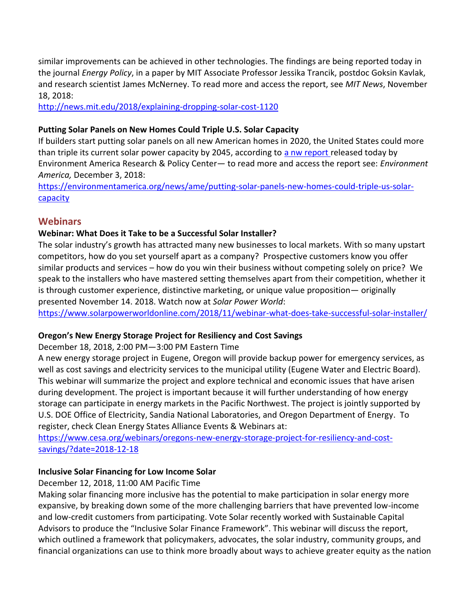similar improvements can be achieved in other technologies. The [findings are being reported today](http://www.sciencedirect.com/science/article/pii/S0301421518305196?via%3Dihub) in the journal *Energy Policy*, in a paper by MIT Associate Professor Jessika Trancik, postdoc Goksin Kavlak, and research scientist James McNerney. To read more and access the report, see *MIT News*, November 18, 2018:

<http://news.mit.edu/2018/explaining-dropping-solar-cost-1120>

## **[Putting Solar Panels on New Homes Could Triple U.S. Solar Capacity](https://environmentamerica.org/news/ame/putting-solar-panels-new-homes-could-triple-us-solar-capacity)**

If builders start putting solar panels on all new American homes in 2020, the United States could more than triple its current solar power capacity by 2045, according to [a nw report](https://environmentamerica.org/feature/ame/solar-homes) released today by Environment America Research & Policy Center— to read more and access the report see: *Environment America,* December 3, 2018:

[https://environmentamerica.org/news/ame/putting-solar-panels-new-homes-could-triple-us-solar](https://environmentamerica.org/news/ame/putting-solar-panels-new-homes-could-triple-us-solar-capacity)[capacity](https://environmentamerica.org/news/ame/putting-solar-panels-new-homes-could-triple-us-solar-capacity)

## **Webinars**

## **Webinar: What Does it Take to be a Successful Solar Installer?**

The solar industry's growth has attracted many new businesses to local markets. With so many upstart competitors, how do you set yourself apart as a company? Prospective customers know you offer similar products and services – how do you win their business without competing solely on price? We speak to the installers who have mastered setting themselves apart from their competition, whether it is through customer experience, distinctive marketing, or unique value proposition— originally presented November 14. 2018. Watch now at *Solar Power World*:

<https://www.solarpowerworldonline.com/2018/11/webinar-what-does-take-successful-solar-installer/>

## **Oregon's New Energy Storage Project for Resiliency and Cost Savings**

December 18, 2018, 2:00 PM—3:00 PM Eastern Time

A new energy storage project in Eugene, Oregon will provide backup power for emergency services, as well as cost savings and electricity services to the municipal utility (Eugene Water and Electric Board). This webinar will summarize the project and explore technical and economic issues that have arisen during development. The project is important because it will further understanding of how energy storage can participate in energy markets in the Pacific Northwest. The project is jointly supported by U.S. DOE Office of Electricity, Sandia National Laboratories, and Oregon Department of Energy. To register, check Clean Energy States Alliance Events & Webinars at:

[https://www.cesa.org/webinars/oregons-new-energy-storage-project-for-resiliency-and-cost](https://www.cesa.org/webinars/oregons-new-energy-storage-project-for-resiliency-and-cost-savings/?date=2018-12-18)[savings/?date=2018-12-18](https://www.cesa.org/webinars/oregons-new-energy-storage-project-for-resiliency-and-cost-savings/?date=2018-12-18)

## **Inclusive Solar Financing for Low Income Solar**

December 12, 2018, 11:00 AM Pacific Time

Making solar financing more inclusive has the potential to make participation in solar energy more expansive, by breaking down some of the more challenging barriers that have prevented low-income and low-credit customers from participating. Vote Solar recently worked with Sustainable Capital Advisors to produce the "Inclusive Solar Finance Framework". This webinar will discuss the report, which outlined a framework that policymakers, advocates, the solar industry, community groups, and financial organizations can use to think more broadly about ways to achieve greater equity as the nation